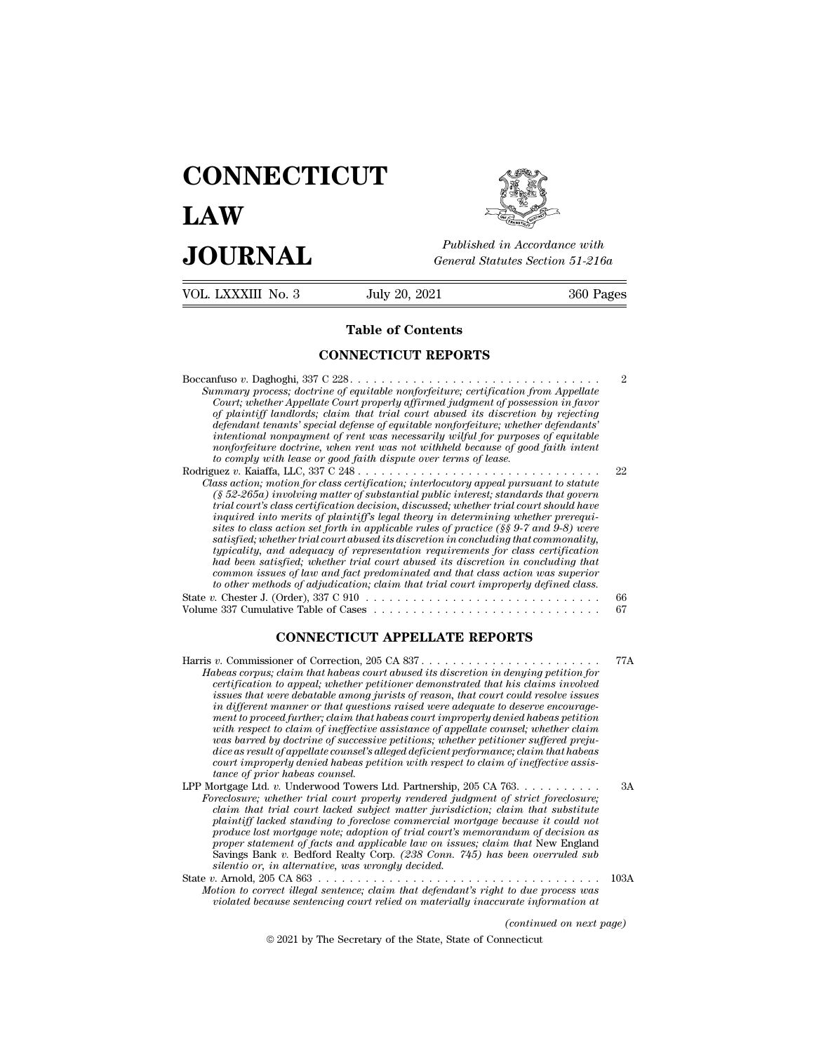# **CONNECTICUT LAW PUBLICE CONNECTICUT**<br> **Published in Accordance with**<br> **JOURNAL** *General Statutes Section 51-216a*<br> **Published in Accordance with**  $\begin{array}{cc}\n\textbf{LAW} & \overbrace{\overbrace{\overbrace{\overline{\textbf{E}}\textbf{W}}\textbf{W}}^{public}} \\
\textbf{JOLIRNAL} & \textit{Published in According to the General Statistics Section 51-216a} \\
\hline\n\text{VOL. LXXXIII No. 3} & \text{July 20, 2021} & \text{360 Pages}\n\end{array}$



Published in A.<br>
General Statutes<br> **Table of Contents<br>
INECTICUT REPORTS** 

| JUUKNAL<br>General Statutes Section 51-216a |                                                                                                                                                                                                                                                                                                                                                                                                                                                                                                                                                                                                                                                                                                                                                                                                                                                                                                          |                |  |
|---------------------------------------------|----------------------------------------------------------------------------------------------------------------------------------------------------------------------------------------------------------------------------------------------------------------------------------------------------------------------------------------------------------------------------------------------------------------------------------------------------------------------------------------------------------------------------------------------------------------------------------------------------------------------------------------------------------------------------------------------------------------------------------------------------------------------------------------------------------------------------------------------------------------------------------------------------------|----------------|--|
| VOL. LXXXIII No. 3                          | July 20, 2021                                                                                                                                                                                                                                                                                                                                                                                                                                                                                                                                                                                                                                                                                                                                                                                                                                                                                            | 360 Pages      |  |
|                                             | <b>Table of Contents</b>                                                                                                                                                                                                                                                                                                                                                                                                                                                                                                                                                                                                                                                                                                                                                                                                                                                                                 |                |  |
|                                             | <b>CONNECTICUT REPORTS</b>                                                                                                                                                                                                                                                                                                                                                                                                                                                                                                                                                                                                                                                                                                                                                                                                                                                                               |                |  |
|                                             | Summary process; doctrine of equitable nonforfeiture; certification from Appellate<br>Court; whether Appellate Court properly affirmed judgment of possession in favor<br>of plaintiff landlords; claim that trial court abused its discretion by rejecting<br>defendant tenants' special defense of equitable nonforfeiture; whether defendants'<br>intentional nonpayment of rent was necessarily wilful for purposes of equitable<br>nonforfeiture doctrine, when rent was not withheld because of good faith intent<br>to comply with lease or good faith dispute over terms of lease.                                                                                                                                                                                                                                                                                                               | $\overline{2}$ |  |
|                                             | Class action; motion for class certification; interlocutory appeal pursuant to statute<br>$($ § 52-265a) involving matter of substantial public interest; standards that govern<br>trial court's class certification decision, discussed; whether trial court should have<br><i>inquired into merits of plaintiff's legal theory in determining whether prerequi-</i><br>sites to class action set forth in applicable rules of practice $(\S$ § 9-7 and 9-8) were<br>satisfied; whether trial court abused its discretion in concluding that commonality,<br>typicality, and adequacy of representation requirements for class certification<br>had been satisfied; whether trial court abused its discretion in concluding that<br>common issues of law and fact predominated and that class action was superior<br>to other methods of adjudication; claim that trial court improperly defined class. | 22             |  |
|                                             | State v. Chester J. (Order), 337 C 910 $\ldots \ldots \ldots \ldots \ldots \ldots \ldots \ldots \ldots \ldots \ldots$                                                                                                                                                                                                                                                                                                                                                                                                                                                                                                                                                                                                                                                                                                                                                                                    | 66             |  |
|                                             |                                                                                                                                                                                                                                                                                                                                                                                                                                                                                                                                                                                                                                                                                                                                                                                                                                                                                                          | 67             |  |
|                                             | <b>CONNECTICUT APPELLATE REPORTS</b>                                                                                                                                                                                                                                                                                                                                                                                                                                                                                                                                                                                                                                                                                                                                                                                                                                                                     |                |  |
|                                             | Habeas corpus; claim that habeas court abused its discretion in denying petition for<br>certification to appeal: whether petitioner demonstrated that his claims involved                                                                                                                                                                                                                                                                                                                                                                                                                                                                                                                                                                                                                                                                                                                                | 77A            |  |

*e n*. Chester J. (Order), 337 C 910<br> **Habeas corpus; claim that habeas corpus; claim of Correction, 205 CA 837<br>
<b>Habeas corpus; claim for Correction**, 205 CA 837<br> *Habeas corpus; claim that habeas court abused its discr certification to appeal; whether petitioner appeal; whether petitioner demonstrated that his claims involved*<br>*certification to appeal; whether petitioner demonstrated that his claims involved*<br>*is sues that hat habeas co issues that were debatable among jurists of reason, that court could resolve issues in different manner or that questions raised were adequate to deserve encourage-***COINNECTICUT AFFELLATE REFORTS**<br>*mentage for all alternation* and the properties court abused its discretion in denying petition for<br>certification to appeal; whether petitioner demonstrated that his claims involved<br>issues *with respect to claim of ineffective assistance of appellate counsel; whether claim was barred by doctrine of successive petitions; whether petitioner suffered prejudifferentiation* to appeal; whether petitioner demonstrated that his claims involved certification to appeal; whether petitioner demonstrated that his claims involved is alleged among performance; claim that deficient per *cortytection to appeal; whether petitioner demonstrated that his claims involved*<br>issues that were debatable among jurists of reason, that court could resolve issues<br>in different manner or that questions raised were adequ *tances that were debatable among ju*<br>*in different manner or that question*<br>*ment to proceed further; claim that h*<br>*with respect to claim of ineffective counsel's all<br>couns barred by doctrine of successive<br>dice as result* In all the method of the method of the distance of the method of the method of the method of the method of the method of the method of the method of the method of the method of the method of the method of the method of the *Foreclosure; whether trial court magnetic foreclosure; whether data was barred by doctrine of successive petitions; whether petitioner suffered prejudice as result of appellate counsel's alleged deficient performance; whe claim is pectron claim by the existing that trial courtset; whether claim dies are alfered prightons; whether petitioner suffered prejudice as result of appellate coursel's alleged deficient performance; claim that habeas* 

*plaintiff increases the plaintiff of the standing to foreclose is result of appellate conneclise as result of appellate counsel's alleged deficient performance; claim that habeas count improperty denied habeas petition wi dice as result of appellate counsel's alleged deficient performance; claim that habeas*<br> *court improperly denied habeas petition with respect to claim of ineffective assis-*<br> *produce of prior habeas counsel.*<br> *Mortgage proper statement and applicable property deniangle and applicative distance of prior habeas courses*.<br> *proper statement of property remember on is a reclosure; whether trial court property rendered judgment of strict for* Savings Bank *v.* Bedford Realty Corp*. (238 Conn. 745) has been overruled sub* ortgage Ltd. *v.* Underwood Towers Ltd. Partnership, 20<br>*reclosure; whether trial court properly rendered judg<br>claim that trial court lacked subject matter jurisdictical<br>plaintiff lacked standing to foreclose commercial mo* Forewaste, whenever a distributed subject primerial judgment of state is a distributed plaintiff lacked standing to foreclose commercial mortgage because it could not produce lost mortgage note; adoption of trial court's m *Motion that trial court increas subject matter jurisdiction, calim that substitute*<br>plaintiff lacked standing to foreclose commercial mortgage because it could not<br>produce lost mortgage note; adoption of trial court's mem particular discussions of the commercial mortgage occurse of courtain and produce lost mortgage note; adoption of trial court's memorandum of decision as<br>proper statement of facts and applicable law on issues; claim that N

*(e) ch* and the correct illegal sentence; claim that defendant's right to due process was violated because sentencing court relied on materially inaccurate information at (continued on ext page)<br>  $\odot$  2021 by The Secre 2021 by The Secretary of the State, State of Connecticut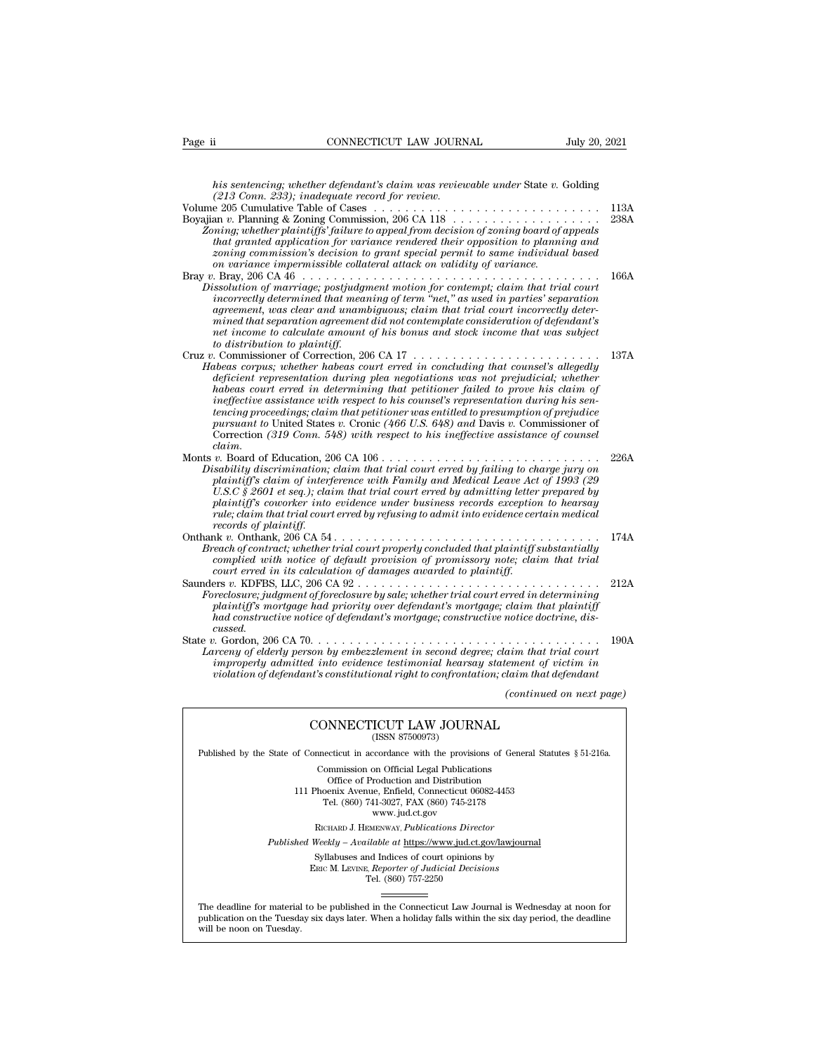*his sentencing; whether defendant's claim was reviewable under* State *v.* Golding<br>*(213 Conn. 233); inadequate record for review.*<br>*e* 205 Cumulative Table of Cases Page ii CONNECTICUT LAW JOURNAL July 20.<br> *his sentencing; whether defendant's claim was reviewable under State v. Golding* (213 Conn. 233); *inadequate record for review.*<br>
Volume 205 Cumulative Table of Cases . . . . . . Page ii CONNECTICUT LAW JOURNAL July 20, 2021<br>
his sentencing; whether defendant's claim was reviewable under State v. Golding<br>
(213 Conn. 233); inadequate record for review.<br>
Volume 205 Cumulative Table of Cases . . . . . Page ii **connect Connect Connect Connect Connect Connect Connect Ca** 1<br>
his sentencing; whether defendant's claim was reviewable under State v. Golding<br>
(213 Conn. 233); inadequate record for review.<br>
Volume 205 Cumulative *Zoning; whether plaintiffs' failure to appeal from decision of zoning board of appeals that granted application for variance rendered their opposition to planning and zoning commission's decision to grant special permit to same individual based Colume 205 Cumulative Table of Cases*<br> *Boyajian v. Planning & Zoning Commission, 206 CA 118*<br> *Zoning, whether plaintiffs' failure to appeal from decision of zoning board of appeals*<br> *that granted application for varian* Bray *<sup>v</sup>*. Bray, 206 CA 46 . . . . . . . . . . . . . . . . . . . . . . . . . . . . . . . . . . . . . . 166A *Dissolution of marriage; postjudgment motion for contempt; claim that trial court incorrectly determined that meaning of term ''net,''* as used in particular meaning; whether plaintiffs' failure to appeal from decision of particular again and that granted application for variance endered their oppositi *agreement, and a coning commission's decision to grant special permit to same individual based* on variance impermissible collateral attack on validity of variance.<br> *a.* Bray, 206 CA 46 . . . . . . . . . . . . . . . . . *mated application for variance rendered their opposition to planning and<br>
zoning commission's decision to grant special permit to same individual based<br>
on variance impermissionle collateral attack on validity of variance net incommission state amount of the main to same individual based*<br> *net increase impermissible collateral attack on validity of variance.*<br> *net incorectly deta formatinge; postingment motion for contempt; claim that tr Fray v. Bray, 206 CA 46*<br>*Dissolution of marriage; postjudgment motion for contempt; claim that trial court incorrectly determined that meaning of term "net," as used in parties' separation agreement, was clear and unambi* Cruz *<sup>v</sup>*. Commissioner of Correction, 206 CA 17 . . . . . . . . . . . . . . . . . . . . . . . . 137A *Hassolution of marriage; postjudgment motion for contempt; clarm that trial court<br>
incorrectly determined that meaning of term "net," as used in partics' separation<br>
agreement, was clear and unambiguous; claim that trial deficient representation during of term "net," as used in parties' separation*<br>agreement, was clear and unambiguous; claim that trial court incorrectly deter-<br>mined that separation agreement idi not contemplate considerat *agreement, was cear and unambiguous; claim that trial court incorrectly determined that separation agreement did not contemplate consideration of defendant's net income to calculate amount of his bonus and stock income th deficient representation during plea negotiations was not prejudicial; whether habeas court erred in determining that petitioner failed to prove his claim of ineffective assistance with respect to his counsel's representa tencing proceedings; claim that petitioner was entitled to presumption of prejudice pursuant to plannty.* 137*k*<br> *pursuant to pure incorection, 206 CA 17*<br> *pubeas corpus; whether habeas court erred in concluding that counsel's allegedly<br>
<i>deficient representation during plea negotiations was not prejud* Correction *(319 Conn. 548) with respect to his ineffective assistance of counsel claim.* aepcent representation airing piea negotiations was not prejuated, whether<br>habeas court erred in determining that petitioner failed to prove his claim of<br>ineffective assistance with respect to his counsel's representation *Proference in a determining that petitioner jailed to prove his claim of inefective assistance with respect to his coursel's representation during his sen-<br>tencing proceedings; claim that petitioner was entitled to presum player the detaings; claim that periodic interference with respect to his coinset s representation during his sentencing proceedings; claim that petitioner was entitled to presumption of prejudice pursuant to United State U.S.C § 2601 et seq.); claim that petitioner was entitled to presumption of preparce pursuant to United States v. Cronic (466 U.S. 648) and Davis v. Commissioner of coursel correction (319 Conn. 548) with respect to his i pursuant to United States v. Uronic (400 U.S. 048) and Davis v. Unimissioner of*<br> *correction (319 Conn. 548) with respect to his ineffective assistance of counsel*<br> *v. Board of Education, 206 CA 106 . . . . . . . . . . rule; claim that trial court erred by refusing to admit into evidence certain medical records of plaintiff.* Onthank *v.* Onthank, 206 CA 54 . . . . . . . . . . . . . . . . . . . . . . . . . . . . . . . . . . 174A *Breaching casernmiation; caam that trial court errea oy jaunny to charge jury on*<br>
plaintiff's claim of interference with Family and Medical Leave Act of 1993 (29<br>
U.S.C § 2601 et seq.); claim that trial court erred by ad plannty's claim of interference with Family and Medical Leave Act of 1993 (29<br>U.S.C § 2601 et seq.); claim that trial court erred by admitting letter prepared by<br>planitiffs coworker into evidence under business records exc *court is a court erred of damages awarded to plaintiffs courtered in the plaintiff.*<br> *courter into evidence under business records exception*<br> *creach of contract; whether trial court properly concluded that plaintiff.*<br> plantify solution that the course of plantiffs contained by refusing to admit into evidence certain medical<br>relation that the indicator erred by refusing to admit into evidence certain medical<br>records of plaintiff, 206 CA *Foreclosure; judgment of foreclosure by rejusing to damnt into evidence certain meatical*<br> *Forecords of planiniff.*<br> *Foreclosure; whether trial court properly concluded that plaintiff substantially<br>
complied with notice plaintiff's mortgage had priority over defendant's mortgage; claim that plaintiff had constract; whether trial court properly complied that plaintiff substantially* econplied with notice of default provision of promissory note; claim that trial court erred in its calculation of damages awarded to plain *cussed.* State *v.* Gordon, 206 CA 70. . . . . . . . . . . . . . . . . . . . . . . . . . . . . . . . . . . . . 190A *Larceny of elderly person by embezzlement in second degree; claim that trial court improperly admitted into evidence testimonial hearsay statement of victim in veclosure; judgment of Joreclosure by sate; whether trud court erred in determining*<br>plaintiff's mortgage had priority over defendant's mortgage; claim that plaintiff<br>cansed.<br>cussed.<br>Constructive notice of defendant's mor  $\begin{array}{ll} \textit{notice doctrine}, \textit{diss} \\ \dots & \dots & \dots & 190 \textit{A} \\ \textit{aim that trial court} \\ \textit{lement of victim in} \\ \textit{laim that defendant} \\ \textit{(continued on next page)} \end{array}$ CONNECTICUT LAW JOURNAL<br>
CONNECTICUT LAW JOURNAL<br>
CONNECTICUT LAW JOURNAL<br>
(CONNECTICUT LAW JOURNAL<br>
(ISSN 87500973)<br>
onnecticut in accordance with the provisions of General Statute violation of defendant's constitutional right to confrontation; claim that defendant<br>(continued on next<br>CONNECTICUT LAW JOURNAL<br>(ISSN 87500973) Published by the State of Connecticut in accordance with the provisions of General Statutes § 51-216a.

CONNECTICUT LAW JOURNAL<br>
(ISSN 87500973)<br>
inecticut in accordance with the provisions of Gener<br>
Commission on Official Legal Publications<br>
Office of Production and Distribution<br>
office of Production and Distribution **NNECTICUT LAW JOURNAL**<br>
(ISSN 87500973)<br>
cticut in accordance with the provisions of Gener<br>
mmission on Official Legal Publications<br>
Office of Production and Distribution<br>
centra Avenue, Enfield, Connecticut 06082-4453<br>
b CONNECTICUT LAW JOURNAL<br>
(ISSN 87500973)<br>
of Connecticut in accordance with the provisions of General Statu<br>
Commission on Official Legal Publications<br>
Office of Production and Distribution<br>
111 Phoenix Avenue, Enfield, Co (ISSN 87500973)<br>ecticut in accordance with the provisions of Gener<br>ommission on Official Legal Publications<br>Office of Production and Distribution<br>oenix Avenue, Enfield, Connecticut 06082-4453<br>Tel. (860) 741-3027, FAX (860 reordance with the provision<br>on Official Legal Publication<br>roduction and Distribution<br>e, Enfield, Connecticut 06<br>11-3027, FAX (860) 745-217<br>www.jud.ct.gov<br>zenway, *Publications Dire* Rommission on Official Legal Publications<br>
Office of Production and Distribution<br>
Phoenix Avenue, Enfield, Connecticut 06082-4453<br>
Tel. (860) 741-3027, FAX (860) 745-2178<br>
www.jud.ct.gov<br>
RICHARD J. HEMENWAY, *Publications* Office of Production and Distribution<br>
111 Phoenix Avenue, Enfield, Connecticut 06082-4453<br>
Tel. (860) 741-3027, FAX (860) 745-2178<br>
www.jud.ct.gov<br>
RICHARD J. HEMENWAY, *Publications Director*<br> *Published Weekly – Availab* Phoenix Avenue, Enfield, Connecticut 06082-4453<br>
Tel. (860) 741-3027, FAX (860) 745-2178<br>
www.jud.ct.gov<br>
RICHARD J. HEMENWAY, *Publications Director*<br>
Weekly – Available at <u>https://www.jud.ct.gov/lawjourna</u><br>
Syllabuses a

 $\begin{array}{c} \text{www. judc.t.gov} \\ \text{RICHARD J. HEMENTway, *Publications Director} \\ \text{Weekly - Available at <a href="https://www.judc.t.gov/}{https://www.judc.t.gov/}{https://www.judc.t.gov/}{\small Syllabuses} \text{ and Indices of court opinions by} \\ \text{Enc} M. LENTX, <i>Reporter of Judicial Decisions* \\ \text{Tel.} (860) 757-2250 \end{array}$ 

Published Weekly – Available at https://www.jud.ct.gov/lawjournal<br>Syllabuses and Indices of court opinions by<br>ERIC M. LEVINE, Reporter of Judicial Decisions<br>The deadline for material to be published in the Connecticut Law  $\begin{tabular}{l} \bf Syllabuses\ and\ Indices\ of\ court\ opinions\ by\\ \bf Enc\ M.\ LevINE,\ \textit{Reporter of\ Judicial\ Decisions}\\ \bf Tel.\ (860)\ 757-2250\\ \end{tabular}$  <br> The deadline for material to be published in the Connecticut Law Journal is Wednesday at noon for publication on the Tuesday six days later The deadline for material<br>publication on the Tuesday.<br>will be noon on Tuesday.